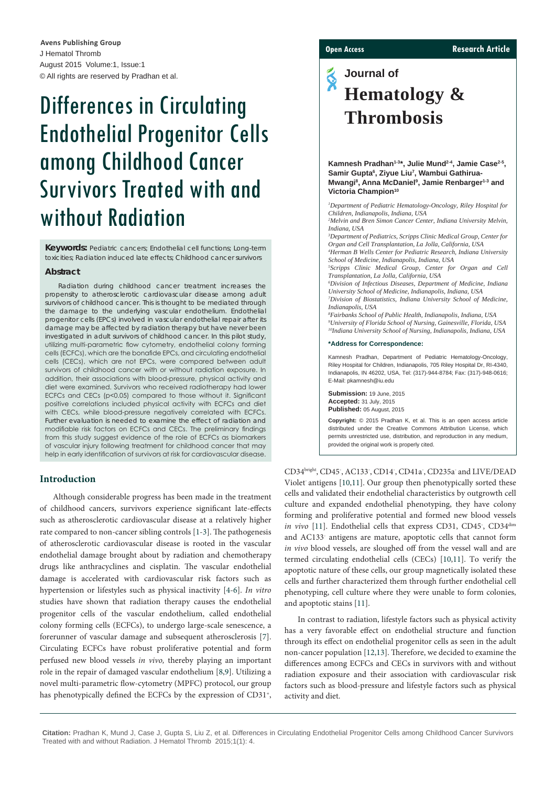J Hematol Thromb August 2015 Volume:1, Issue:1 © All rights are reserved by Pradhan et al. **Avens Publishing Group**

# Differences in Circulating Endothelial Progenitor Cells among Childhood Cancer Survivors Treated with and without Radiation

**Keywords:** Pediatric cancers; Endothelial cell functions; Long-term toxicities; Radiation induced late effects; Childhood cancer survivors

## **Abstract**

Radiation during childhood cancer treatment increases the propensity to atherosclerotic cardiovascular disease among adult survivors of childhood cancer. This is thought to be mediated through the damage to the underlying vascular endothelium. Endothelial progenitor cells (EPCs) involved in vascular endothelial repair after its damage may be affected by radiation therapy but have never been investigated in adult survivors of childhood cancer. In this pilot study, utilizing multi-parametric flow cytometry, endothelial colony forming cells (ECFCs), which are the bonafide EPCs, and circulating endothelial cells (CECs), which are not EPCs, were compared between adult survivors of childhood cancer with or without radiation exposure. In addition, their associations with blood-pressure, physical activity and diet were examined. Survivors who received radiotherapy had lower ECFCs and CECs (p<0.05) compared to those without it. Significant positive correlations included physical activity with ECFCs and diet with CECs, while blood-pressure negatively correlated with ECFCs. Further evaluation is needed to examine the effect of radiation and modifiable risk factors on ECFCs and CECs. The preliminary findings from this study suggest evidence of the role of ECFCs as biomarkers of vascular injury following treatment for childhood cancer that may help in early identification of survivors at risk for cardiovascular disease.

#### **Introduction**

Although considerable progress has been made in the treatment of childhood cancers, survivors experience significant late-effects such as atherosclerotic cardiovascular disease at a relatively higher rate compared to non-cancer sibling controls [[1](#page-3-0)[-3](#page-3-1)]. The pathogenesis of atherosclerotic cardiovascular disease is rooted in the vascular endothelial damage brought about by radiation and chemotherapy drugs like anthracyclines and cisplatin. The vascular endothelial damage is accelerated with cardiovascular risk factors such as hypertension or lifestyles such as physical inactivity [\[4-](#page-3-2)[6](#page-3-3)]. *In vitro* studies have shown that radiation therapy causes the endothelial progenitor cells of the vascular endothelium, called endothelial colony forming cells (ECFCs), to undergo large-scale senescence, a forerunner of vascular damage and subsequent atherosclerosis [\[7](#page-3-4)]. Circulating ECFCs have robust proliferative potential and form perfused new blood vessels *in vivo,* thereby playing an important role in the repair of damaged vascular endothelium [\[8,](#page-3-5)[9](#page-3-6)]. Utilizing a novel multi-parametric flow-cytometry (MPFC) protocol, our group has phenotypically defined the ECFCs by the expression of CD31<sup>+</sup>,

#### **Open Access Research Article**

**Journal of**  $\tilde{\bm{\mathrm{S}}}$ **Hematology & Thrombosis**

#### Kamnesh Pradhan<sup>1-3\*</sup>, Julie Mund<sup>2-4</sup>, Jamie Case<sup>2-5</sup>, Samir Gupta<sup>6</sup>, Ziyue Liu<sup>7</sup>, Wambui Gathirua-Mwangi<sup>8</sup>, Anna McDaniel<sup>9</sup>, Jamie Renbarger<sup>1-3</sup> and **Victoria Champion10**

*1 Department of Pediatric Hematology-Oncology, Riley Hospital for Children, Indianapolis, Indiana, USA 2 Melvin and Bren Simon Cancer Center, Indiana University Melvin, Indiana, USA 3 Department of Pediatrics, Scripps Clinic Medical Group, Center for Organ and Cell Transplantation, La Jolla, California, USA 4 Herman B Wells Center for Pediatric Research, Indiana University School of Medicine, Indianapolis, Indiana, USA 5 Scripps Clinic Medical Group, Center for Organ and Cell Transplantation, La Jolla, California, USA 6 Division of Infectious Diseases, Department of Medicine, Indiana University School of Medicine, Indianapolis, Indiana, USA 7 Division of Biostatistics, Indiana University School of Medicine, Indianapolis, USA 8 Fairbanks School of Public Health, Indianapolis, Indiana, USA 9 University of Florida School of Nursing, Gainesville, Florida, USA 10Indiana University School of Nursing, Indianapolis, Indiana, USA* **\*Address for Correspondence:** Kamnesh Pradhan, Department of Pediatric Hematology-Oncology, Riley Hospital for Children, Indianapolis, 705 Riley Hospital Dr, RI-4340, Indianapolis, IN 46202, USA, Tel: (317)-944-8784; Fax: (317)-948-0616; E-Mail: pkamnesh@iu.edu **Submission:** 19 June, 2015 **Accepted:** 31 July, 2015 **Published:** 05 August, 2015 **Copyright:** © 2015 Pradhan K, et al. This is an open access article distributed under the Creative Commons Attribution License, which permits unrestricted use, distribution, and reproduction in any medium,

CD34<sup>bright</sup>, CD45<sup>-</sup>, AC133<sup>-</sup>, CD14<sup>-</sup>, CD41a<sup>-</sup>, CD235a<sup>-</sup> and LIVE/DEAD Violet antigens [\[10,](#page-3-7)[11](#page-3-8)]. Our group then phenotypically sorted these cells and validated their endothelial characteristics by outgrowth cell culture and expanded endothelial phenotyping, they have colony forming and proliferative potential and formed new blood vessels in vivo [\[11\]](#page-3-8). Endothelial cells that express CD31, CD45, CD34dim and AC133- antigens are mature, apoptotic cells that cannot form *in vivo* blood vessels, are sloughed off from the vessel wall and are termed circulating endothelial cells (CECs) [\[10](#page-3-7)[,11\]](#page-3-8). To verify the apoptotic nature of these cells, our group magnetically isolated these cells and further characterized them through further endothelial cell phenotyping, cell culture where they were unable to form colonies, and apoptotic stains [\[11](#page-3-8)].

provided the original work is properly cited.

In contrast to radiation, lifestyle factors such as physical activity has a very favorable effect on endothelial structure and function through its effect on endothelial progenitor cells as seen in the adult non-cancer population [[12](#page-3-9)[,13\]](#page-3-10). Therefore, we decided to examine the differences among ECFCs and CECs in survivors with and without radiation exposure and their association with cardiovascular risk factors such as blood-pressure and lifestyle factors such as physical activity and diet.

**Citation:** Pradhan K, Mund J, Case J, Gupta S, Liu Z, et al. Differences in Circulating Endothelial Progenitor Cells among Childhood Cancer Survivors Treated with and without Radiation. J Hematol Thromb 2015;1(1): 4.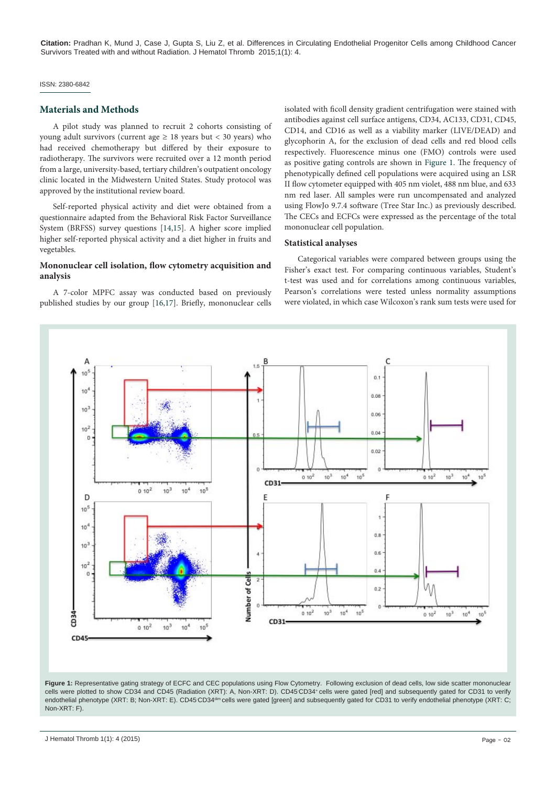**Citation:** Pradhan K, Mund J, Case J, Gupta S, Liu Z, et al. Differences in Circulating Endothelial Progenitor Cells among Childhood Cancer Survivors Treated with and without Radiation. J Hematol Thromb 2015;1(1): 4.

#### ISSN: 2380-6842

#### **Materials and Methods**

A pilot study was planned to recruit 2 cohorts consisting of young adult survivors (current age  $\geq$  18 years but < 30 years) who had received chemotherapy but differed by their exposure to radiotherapy. The survivors were recruited over a 12 month period from a large, university-based, tertiary children's outpatient oncology clinic located in the Midwestern United States. Study protocol was approved by the institutional review board.

Self-reported physical activity and diet were obtained from a questionnaire adapted from the Behavioral Risk Factor Surveillance System (BRFSS) survey questions [[14](#page-3-11)[,15](#page-3-12)]. A higher score implied higher self-reported physical activity and a diet higher in fruits and vegetables.

#### **Mononuclear cell isolation, flow cytometry acquisition and analysis**

A 7-color MPFC assay was conducted based on previously published studies by our group [\[16,](#page-3-13)[17\]](#page-3-14). Briefly, mononuclear cells isolated with ficoll density gradient centrifugation were stained with antibodies against cell surface antigens, CD34, AC133, CD31, CD45, CD14, and CD16 as well as a viability marker (LIVE/DEAD) and glycophorin A, for the exclusion of dead cells and red blood cells respectively. Fluorescence minus one (FMO) controls were used as positive gating controls are shown in [Figure 1](#page-1-0). The frequency of phenotypically defined cell populations were acquired using an LSR II flow cytometer equipped with 405 nm violet, 488 nm blue, and 633 nm red laser. All samples were run uncompensated and analyzed using FlowJo 9.7.4 software (Tree Star Inc.) as previously described. The CECs and ECFCs were expressed as the percentage of the total mononuclear cell population.

#### **Statistical analyses**

Categorical variables were compared between groups using the Fisher's exact test. For comparing continuous variables, Student's t-test was used and for correlations among continuous variables, Pearson's correlations were tested unless normality assumptions were violated, in which case Wilcoxon's rank sum tests were used for

<span id="page-1-0"></span>

Figure 1: Representative gating strategy of ECFC and CEC populations using Flow Cytometry. Following exclusion of dead cells, low side scatter mononuclear cells were plotted to show CD34 and CD45 (Radiation (XRT): A, Non-XRT: D). CD45 CD34+ cells were gated [red] and subsequently gated for CD31 to verify endothelial phenotype (XRT: B; Non-XRT: E). CD45<sup>.</sup>CD34ªim cells were gated [green] and subsequently gated for CD31 to verify endothelial phenotype (XRT: C; Non-XRT: F).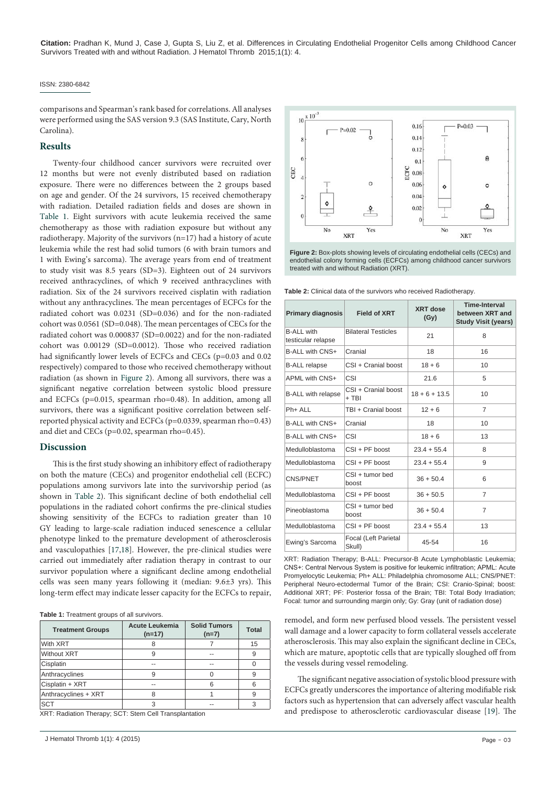**Citation:** Pradhan K, Mund J, Case J, Gupta S, Liu Z, et al. Differences in Circulating Endothelial Progenitor Cells among Childhood Cancer Survivors Treated with and without Radiation. J Hematol Thromb 2015;1(1): 4.

#### ISSN: 2380-6842

comparisons and Spearman's rank based for correlations. All analyses were performed using the SAS version 9.3 (SAS Institute, Cary, North Carolina).

#### **Results**

Twenty-four childhood cancer survivors were recruited over 12 months but were not evenly distributed based on radiation exposure. There were no differences between the 2 groups based on age and gender. Of the 24 survivors, 15 received chemotherapy with radiation. Detailed radiation fields and doses are shown in [Table 1.](#page-2-0) Eight survivors with acute leukemia received the same chemotherapy as those with radiation exposure but without any radiotherapy. Majority of the survivors (n=17) had a history of acute leukemia while the rest had solid tumors (6 with brain tumors and 1 with Ewing's sarcoma). The average years from end of treatment to study visit was 8.5 years (SD=3). Eighteen out of 24 survivors received anthracyclines, of which 9 received anthracyclines with radiation. Six of the 24 survivors received cisplatin with radiation without any anthracyclines. The mean percentages of ECFCs for the radiated cohort was 0.0231 (SD=0.036) and for the non-radiated cohort was 0.0561 (SD=0.048). The mean percentages of CECs for the radiated cohort was 0.000837 (SD=0.0022) and for the non-radiated cohort was 0.00129 (SD=0.0012). Those who received radiation had significantly lower levels of ECFCs and CECs (p=0.03 and 0.02) respectively) compared to those who received chemotherapy without radiation (as shown in [Figure 2\)](#page-2-1). Among all survivors, there was a significant negative correlation between systolic blood pressure and ECFCs (p=0.015, spearman rho=0.48). In addition, among all survivors, there was a significant positive correlation between selfreported physical activity and ECFCs (p=0.0339, spearman rho=0.43) and diet and CECs (p=0.02, spearman rho=0.45).

#### **Discussion**

This is the first study showing an inhibitory effect of radiotherapy on both the mature (CECs) and progenitor endothelial cell (ECFC) populations among survivors late into the survivorship period (as shown in [Table 2\)](#page-2-2). This significant decline of both endothelial cell populations in the radiated cohort confirms the pre-clinical studies showing sensitivity of the ECFCs to radiation greater than 10 GY leading to large-scale radiation induced senescence a cellular phenotype linked to the premature development of atherosclerosis and vasculopathies [[17,](#page-3-14)[18](#page-3-15)]. However, the pre-clinical studies were carried out immediately after radiation therapy in contrast to our survivor population where a significant decline among endothelial cells was seen many years following it (median: 9.6±3 yrs). This long-term effect may indicate lesser capacity for the ECFCs to repair,

<span id="page-2-0"></span>**Table 1:** Treatment groups of all survivors.

| <b>Acute Leukemia</b><br>$(n=17)$ | <b>Solid Tumors</b><br>$(n=7)$ | <b>Total</b> |
|-----------------------------------|--------------------------------|--------------|
| 8                                 |                                | 15           |
| 9                                 | --                             | 9            |
| --                                | --                             |              |
| 9                                 |                                | 9            |
|                                   | 6                              | 6            |
|                                   |                                | 9            |
| ર                                 | --                             | 3            |
|                                   |                                |              |

XRT: Radiation Therapy; SCT: Stem Cell Transplantation

<span id="page-2-1"></span>

**Figure 2:** Box-plots showing levels of circulating endothelial cells (CECs) and endothelial colony forming cells (ECFCs) among childhood cancer survivors treated with and without Radiation (XRT).

<span id="page-2-2"></span>**Table 2:** Clinical data of the survivors who received Radiotherapy.

| Primary diagnosis                       | <b>Field of XRT</b>            | <b>XRT</b> dose<br>(Gy) | <b>Time-Interval</b><br>between XRT and<br><b>Study Visit (years)</b> |
|-----------------------------------------|--------------------------------|-------------------------|-----------------------------------------------------------------------|
| <b>B-ALL with</b><br>testicular relapse | <b>Bilateral Testicles</b>     | 21                      | 8                                                                     |
| B-ALL with CNS+                         | Cranial                        | 18                      | 16                                                                    |
| <b>B-ALL relapse</b>                    | CSI + Cranial boost            | $18 + 6$                | 10                                                                    |
| APML with CNS+                          | CSI                            | 21.6                    | 5                                                                     |
| <b>B-ALL with relapse</b>               | CSI + Cranial boost<br>+ TBI   | $18 + 6 + 13.5$         | 10                                                                    |
| Ph+ ALL                                 | TBI + Cranial boost            | $12 + 6$                | 7                                                                     |
| B-ALL with CNS+                         | Cranial                        | 18                      | 10                                                                    |
| B-ALL with CNS+                         | CSI                            | $18 + 6$                | 13                                                                    |
| Medulloblastoma                         | $CSI + PF$ boost               | $23.4 + 55.4$           | 8                                                                     |
| Medulloblastoma                         | $CSI + PF$ boost               | $23.4 + 55.4$           | 9                                                                     |
| CNS/PNET                                | CSI + tumor bed<br>boost       | $36 + 50.4$             | 6                                                                     |
| Medulloblastoma                         | $CSI + PF$ boost               | $36 + 50.5$             | 7                                                                     |
| Pineoblastoma                           | CSI + tumor bed<br>boost       | $36 + 50.4$             | $\overline{7}$                                                        |
| Medulloblastoma                         | $CSI + PF$ boost               | $23.4 + 55.4$           | 13                                                                    |
| Ewing's Sarcoma                         | Focal (Left Parietal<br>Skull) | 45-54                   | 16                                                                    |

XRT: Radiation Therapy; B-ALL: Precursor-B Acute Lymphoblastic Leukemia; CNS+: Central Nervous System is positive for leukemic infiltration; APML: Acute Promyelocytic Leukemia; Ph+ ALL: Philadelphia chromosome ALL; CNS/PNET: Peripheral Neuro-ectodermal Tumor of the Brain; CSI: Cranio-Spinal; boost: Additional XRT; PF: Posterior fossa of the Brain; TBI: Total Body Irradiation; Focal: tumor and surrounding margin only; Gy: Gray (unit of radiation dose)

remodel, and form new perfused blood vessels. The persistent vessel wall damage and a lower capacity to form collateral vessels accelerate atherosclerosis. This may also explain the significant decline in CECs, which are mature, apoptotic cells that are typically sloughed off from the vessels during vessel remodeling.

The significant negative association of systolic blood pressure with ECFCs greatly underscores the importance of altering modifiable risk factors such as hypertension that can adversely affect vascular health and predispose to atherosclerotic cardiovascular disease [[19](#page-3-16)]. The